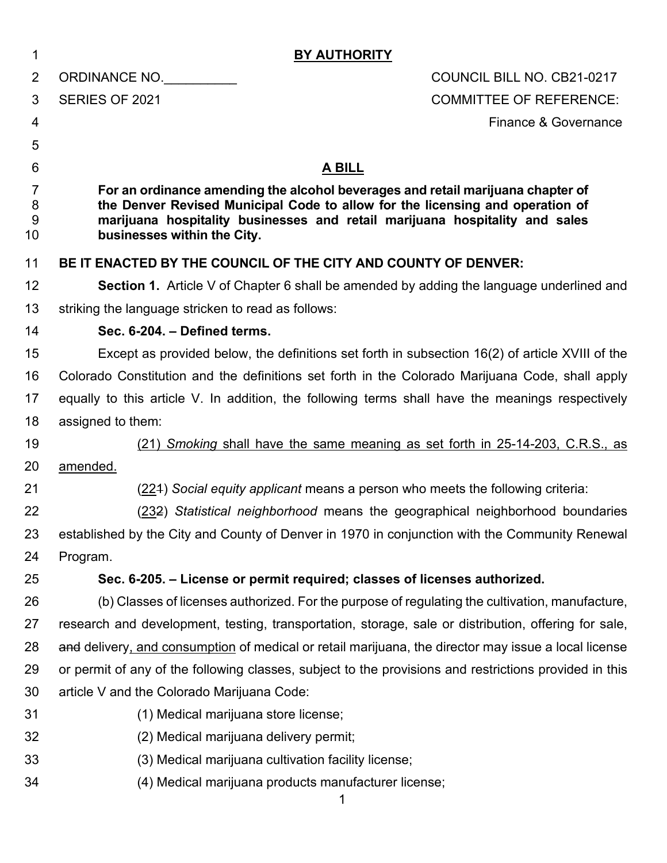| 1                 | <b>BY AUTHORITY</b>                                                                                                                                                                                                                                                            |                                                                                                 |  |  |
|-------------------|--------------------------------------------------------------------------------------------------------------------------------------------------------------------------------------------------------------------------------------------------------------------------------|-------------------------------------------------------------------------------------------------|--|--|
| 2                 | ORDINANCE NO.                                                                                                                                                                                                                                                                  | COUNCIL BILL NO. CB21-0217                                                                      |  |  |
| 3                 | SERIES OF 2021                                                                                                                                                                                                                                                                 | <b>COMMITTEE OF REFERENCE:</b>                                                                  |  |  |
| 4                 |                                                                                                                                                                                                                                                                                | Finance & Governance                                                                            |  |  |
| 5                 |                                                                                                                                                                                                                                                                                |                                                                                                 |  |  |
| 6                 | <b>A BILL</b>                                                                                                                                                                                                                                                                  |                                                                                                 |  |  |
| 7<br>8<br>9<br>10 | For an ordinance amending the alcohol beverages and retail marijuana chapter of<br>the Denver Revised Municipal Code to allow for the licensing and operation of<br>marijuana hospitality businesses and retail marijuana hospitality and sales<br>businesses within the City. |                                                                                                 |  |  |
| 11                |                                                                                                                                                                                                                                                                                | BE IT ENACTED BY THE COUNCIL OF THE CITY AND COUNTY OF DENVER:                                  |  |  |
| 12                |                                                                                                                                                                                                                                                                                | <b>Section 1.</b> Article V of Chapter 6 shall be amended by adding the language underlined and |  |  |
| 13                | striking the language stricken to read as follows:                                                                                                                                                                                                                             |                                                                                                 |  |  |
| 14                | Sec. 6-204. - Defined terms.                                                                                                                                                                                                                                                   |                                                                                                 |  |  |
| 15                | Except as provided below, the definitions set forth in subsection 16(2) of article XVIII of the                                                                                                                                                                                |                                                                                                 |  |  |
| 16                | Colorado Constitution and the definitions set forth in the Colorado Marijuana Code, shall apply                                                                                                                                                                                |                                                                                                 |  |  |
| 17                | equally to this article V. In addition, the following terms shall have the meanings respectively                                                                                                                                                                               |                                                                                                 |  |  |
| 18                | assigned to them:                                                                                                                                                                                                                                                              |                                                                                                 |  |  |
| 19                | (21) Smoking shall have the same meaning as set forth in 25-14-203, C.R.S., as                                                                                                                                                                                                 |                                                                                                 |  |  |
| 20                | amended.                                                                                                                                                                                                                                                                       |                                                                                                 |  |  |
| 21                | (224) Social equity applicant means a person who meets the following criteria:                                                                                                                                                                                                 |                                                                                                 |  |  |
| 22                | (232) Statistical neighborhood means the geographical neighborhood boundaries                                                                                                                                                                                                  |                                                                                                 |  |  |
| 23                | established by the City and County of Denver in 1970 in conjunction with the Community Renewal                                                                                                                                                                                 |                                                                                                 |  |  |
| 24                | Program.                                                                                                                                                                                                                                                                       |                                                                                                 |  |  |
| 25                | Sec. 6-205. - License or permit required; classes of licenses authorized.                                                                                                                                                                                                      |                                                                                                 |  |  |
| 26                | (b) Classes of licenses authorized. For the purpose of regulating the cultivation, manufacture,                                                                                                                                                                                |                                                                                                 |  |  |
| 27                | research and development, testing, transportation, storage, sale or distribution, offering for sale,                                                                                                                                                                           |                                                                                                 |  |  |
| 28                | and delivery, and consumption of medical or retail marijuana, the director may issue a local license                                                                                                                                                                           |                                                                                                 |  |  |
| 29                | or permit of any of the following classes, subject to the provisions and restrictions provided in this                                                                                                                                                                         |                                                                                                 |  |  |
| 30                | article V and the Colorado Marijuana Code:                                                                                                                                                                                                                                     |                                                                                                 |  |  |
| 31                | (1) Medical marijuana store license;                                                                                                                                                                                                                                           |                                                                                                 |  |  |
| 32                | (2) Medical marijuana delivery permit;                                                                                                                                                                                                                                         |                                                                                                 |  |  |
| 33                | (3) Medical marijuana cultivation facility license;                                                                                                                                                                                                                            |                                                                                                 |  |  |
| 34                | (4) Medical marijuana products manufacturer license;<br>1                                                                                                                                                                                                                      |                                                                                                 |  |  |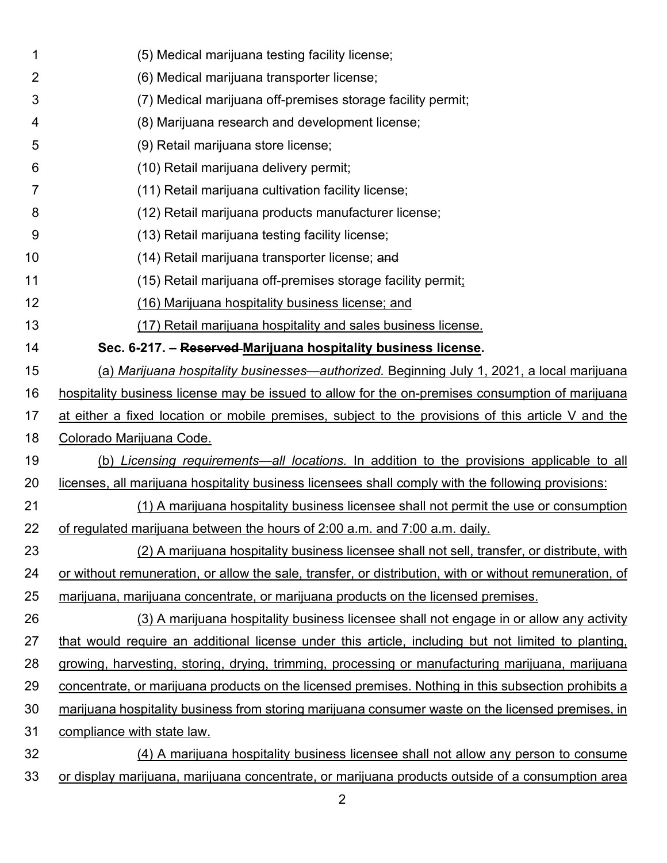| 1  | (5) Medical marijuana testing facility license;                                                         |  |  |  |
|----|---------------------------------------------------------------------------------------------------------|--|--|--|
| 2  | (6) Medical marijuana transporter license;                                                              |  |  |  |
| 3  | (7) Medical marijuana off-premises storage facility permit;                                             |  |  |  |
| 4  | (8) Marijuana research and development license;                                                         |  |  |  |
| 5  | (9) Retail marijuana store license;                                                                     |  |  |  |
| 6  | (10) Retail marijuana delivery permit;                                                                  |  |  |  |
| 7  | (11) Retail marijuana cultivation facility license;                                                     |  |  |  |
| 8  | (12) Retail marijuana products manufacturer license;                                                    |  |  |  |
| 9  | (13) Retail marijuana testing facility license;                                                         |  |  |  |
| 10 | (14) Retail marijuana transporter license; and                                                          |  |  |  |
| 11 | (15) Retail marijuana off-premises storage facility permit;                                             |  |  |  |
| 12 | (16) Marijuana hospitality business license; and                                                        |  |  |  |
| 13 | (17) Retail marijuana hospitality and sales business license.                                           |  |  |  |
| 14 | Sec. 6-217. - Reserved Marijuana hospitality business license.                                          |  |  |  |
| 15 | (a) Marijuana hospitality businesses—authorized. Beginning July 1, 2021, a local marijuana              |  |  |  |
| 16 | hospitality business license may be issued to allow for the on-premises consumption of marijuana        |  |  |  |
| 17 | at either a fixed location or mobile premises, subject to the provisions of this article V and the      |  |  |  |
| 18 | Colorado Marijuana Code.                                                                                |  |  |  |
| 19 | (b) Licensing requirements—all locations. In addition to the provisions applicable to all               |  |  |  |
| 20 | licenses, all marijuana hospitality business licensees shall comply with the following provisions:      |  |  |  |
| 21 | (1) A marijuana hospitality business licensee shall not permit the use or consumption                   |  |  |  |
| 22 | of regulated marijuana between the hours of 2:00 a.m. and 7:00 a.m. daily.                              |  |  |  |
| 23 | (2) A marijuana hospitality business licensee shall not sell, transfer, or distribute, with             |  |  |  |
| 24 | or without remuneration, or allow the sale, transfer, or distribution, with or without remuneration, of |  |  |  |
| 25 | marijuana, marijuana concentrate, or marijuana products on the licensed premises.                       |  |  |  |
| 26 | (3) A marijuana hospitality business licensee shall not engage in or allow any activity                 |  |  |  |
| 27 | that would require an additional license under this article, including but not limited to planting,     |  |  |  |
| 28 | growing, harvesting, storing, drying, trimming, processing or manufacturing marijuana, marijuana        |  |  |  |
| 29 | concentrate, or marijuana products on the licensed premises. Nothing in this subsection prohibits a     |  |  |  |
| 30 | marijuana hospitality business from storing marijuana consumer waste on the licensed premises, in       |  |  |  |
| 31 | compliance with state law.                                                                              |  |  |  |
| 32 | (4) A marijuana hospitality business licensee shall not allow any person to consume                     |  |  |  |
| 33 | or display marijuana, marijuana concentrate, or marijuana products outside of a consumption area        |  |  |  |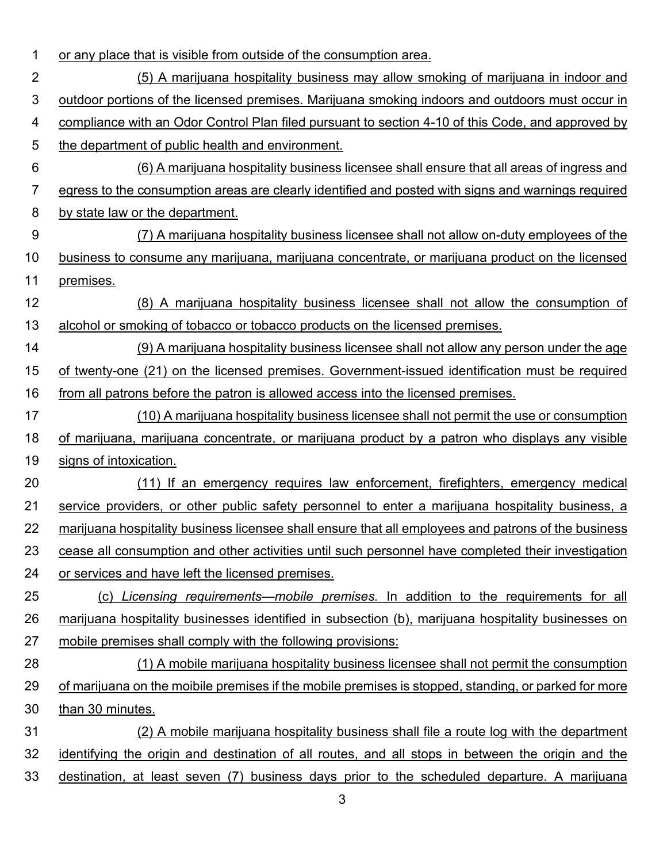or any place that is visible from outside of the consumption area. (5) A marijuana hospitality business may allow smoking of marijuana in indoor and outdoor portions of the licensed premises. Marijuana smoking indoors and outdoors must occur in compliance with an Odor Control Plan filed pursuant to section 4-10 of this Code, and approved by the department of public health and environment. (6) A marijuana hospitality business licensee shall ensure that all areas of ingress and egress to the consumption areas are clearly identified and posted with signs and warnings required by state law or the department. (7) A marijuana hospitality business licensee shall not allow on-duty employees of the business to consume any marijuana, marijuana concentrate, or marijuana product on the licensed premises. (8) A marijuana hospitality business licensee shall not allow the consumption of alcohol or smoking of tobacco or tobacco products on the licensed premises. (9) A marijuana hospitality business licensee shall not allow any person under the age 15 of twenty-one (21) on the licensed premises. Government-issued identification must be required from all patrons before the patron is allowed access into the licensed premises. (10) A marijuana hospitality business licensee shall not permit the use or consumption of marijuana, marijuana concentrate, or marijuana product by a patron who displays any visible signs of intoxication. (11) If an emergency requires law enforcement, firefighters, emergency medical service providers, or other public safety personnel to enter a marijuana hospitality business, a marijuana hospitality business licensee shall ensure that all employees and patrons of the business cease all consumption and other activities until such personnel have completed their investigation or services and have left the licensed premises. (c) *Licensing requirements—mobile premises.* In addition to the requirements for all 26 marijuana hospitality businesses identified in subsection (b), marijuana hospitality businesses on mobile premises shall comply with the following provisions: (1) A mobile marijuana hospitality business licensee shall not permit the consumption of marijuana on the moibile premises if the mobile premises is stopped, standing, or parked for more than 30 minutes. (2) A mobile marijuana hospitality business shall file a route log with the department 32 identifying the origin and destination of all routes, and all stops in between the origin and the destination, at least seven (7) business days prior to the scheduled departure. A marijuana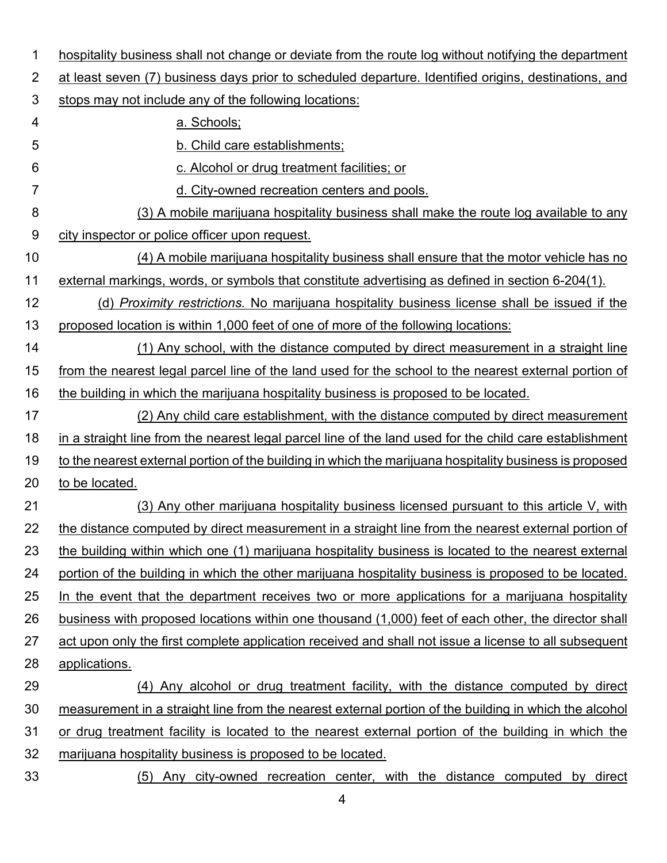| 1  | hospitality business shall not change or deviate from the route log without notifying the department    |  |  |
|----|---------------------------------------------------------------------------------------------------------|--|--|
| 2  | at least seven (7) business days prior to scheduled departure. Identified origins, destinations, and    |  |  |
| 3  | stops may not include any of the following locations:                                                   |  |  |
| 4  | <u>a. Schools;</u>                                                                                      |  |  |
| 5  | b. Child care establishments;                                                                           |  |  |
| 6  | c. Alcohol or drug treatment facilities; or                                                             |  |  |
| 7  | d. City-owned recreation centers and pools.                                                             |  |  |
| 8  | (3) A mobile marijuana hospitality business shall make the route log available to any                   |  |  |
| 9  | city inspector or police officer upon request.                                                          |  |  |
| 10 | (4) A mobile marijuana hospitality business shall ensure that the motor vehicle has no                  |  |  |
| 11 | external markings, words, or symbols that constitute advertising as defined in section 6-204(1).        |  |  |
| 12 | (d) Proximity restrictions. No marijuana hospitality business license shall be issued if the            |  |  |
| 13 | proposed location is within 1,000 feet of one of more of the following locations:                       |  |  |
| 14 | (1) Any school, with the distance computed by direct measurement in a straight line                     |  |  |
| 15 | from the nearest legal parcel line of the land used for the school to the nearest external portion of   |  |  |
| 16 | the building in which the marijuana hospitality business is proposed to be located.                     |  |  |
| 17 | (2) Any child care establishment, with the distance computed by direct measurement                      |  |  |
| 18 | in a straight line from the nearest legal parcel line of the land used for the child care establishment |  |  |
| 19 | to the nearest external portion of the building in which the marijuana hospitality business is proposed |  |  |
| 20 | to be located.                                                                                          |  |  |
| 21 | (3) Any other marijuana hospitality business licensed pursuant to this article V, with                  |  |  |
| 22 | the distance computed by direct measurement in a straight line from the nearest external portion of     |  |  |
| 23 | the building within which one (1) marijuana hospitality business is located to the nearest external     |  |  |
| 24 | portion of the building in which the other marijuana hospitality business is proposed to be located.    |  |  |
| 25 | In the event that the department receives two or more applications for a marijuana hospitality          |  |  |
| 26 | business with proposed locations within one thousand (1,000) feet of each other, the director shall     |  |  |
| 27 | act upon only the first complete application received and shall not issue a license to all subsequent   |  |  |
| 28 | applications.                                                                                           |  |  |
| 29 | (4) Any alcohol or drug treatment facility, with the distance computed by direct                        |  |  |
| 30 | measurement in a straight line from the nearest external portion of the building in which the alcohol   |  |  |
| 31 | or drug treatment facility is located to the nearest external portion of the building in which the      |  |  |
| 32 | marijuana hospitality business is proposed to be located.                                               |  |  |
| 33 | Any city-owned recreation center, with the distance computed by direct<br>(5)                           |  |  |

4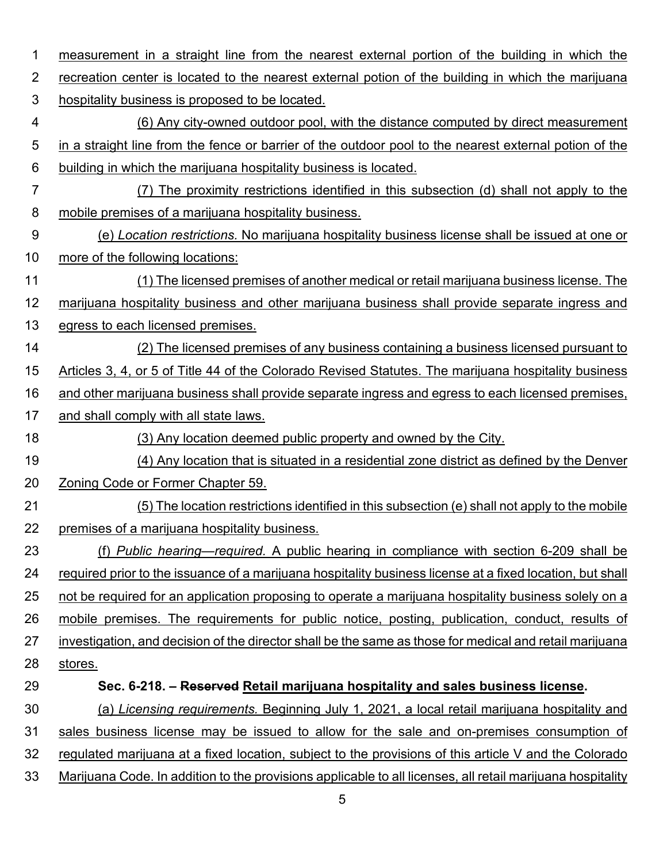measurement in a straight line from the nearest external portion of the building in which the recreation center is located to the nearest external potion of the building in which the marijuana hospitality business is proposed to be located. (6) Any city-owned outdoor pool, with the distance computed by direct measurement in a straight line from the fence or barrier of the outdoor pool to the nearest external potion of the building in which the marijuana hospitality business is located. (7) The proximity restrictions identified in this subsection (d) shall not apply to the mobile premises of a marijuana hospitality business. (e) *Location restrictions.* No marijuana hospitality business license shall be issued at one or more of the following locations: (1) The licensed premises of another medical or retail marijuana business license. The marijuana hospitality business and other marijuana business shall provide separate ingress and egress to each licensed premises. (2) The licensed premises of any business containing a business licensed pursuant to Articles 3, 4, or 5 of Title 44 of the Colorado Revised Statutes. The marijuana hospitality business and other marijuana business shall provide separate ingress and egress to each licensed premises, and shall comply with all state laws. (3) Any location deemed public property and owned by the City. (4) Any location that is situated in a residential zone district as defined by the Denver Zoning Code or Former Chapter 59. (5) The location restrictions identified in this subsection (e) shall not apply to the mobile premises of a marijuana hospitality business. (f) *Public hearing—required.* A public hearing in compliance with section 6-209 shall be required prior to the issuance of a marijuana hospitality business license at a fixed location, but shall not be required for an application proposing to operate a marijuana hospitality business solely on a mobile premises. The requirements for public notice, posting, publication, conduct, results of investigation, and decision of the director shall be the same as those for medical and retail marijuana stores. **Sec. 6-218. – Reserved Retail marijuana hospitality and sales business license.** (a) *Licensing requirements.* Beginning July 1, 2021, a local retail marijuana hospitality and sales business license may be issued to allow for the sale and on-premises consumption of regulated marijuana at a fixed location, subject to the provisions of this article V and the Colorado Marijuana Code. In addition to the provisions applicable to all licenses, all retail marijuana hospitality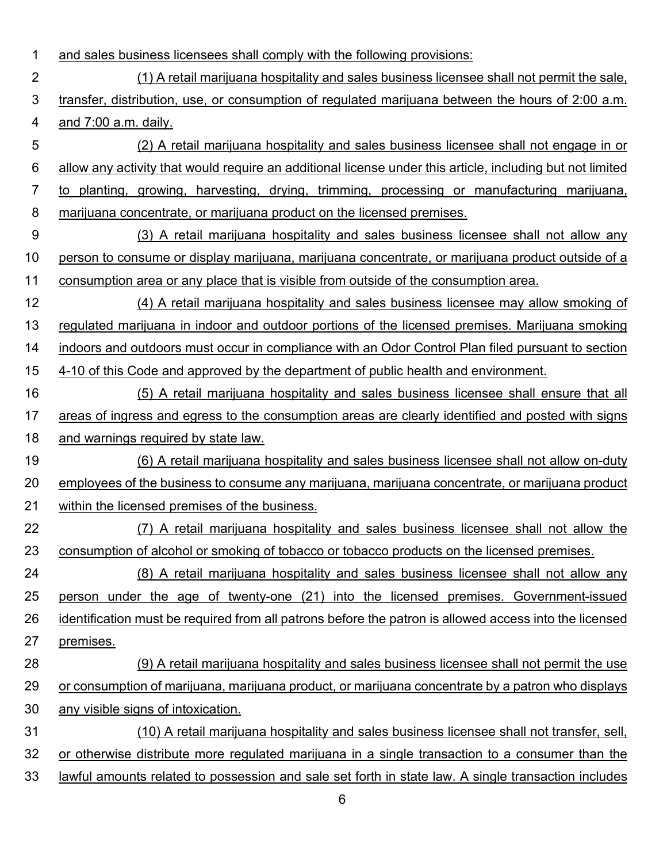- and sales business licensees shall comply with the following provisions:
- (1) A retail marijuana hospitality and sales business licensee shall not permit the sale, transfer, distribution, use, or consumption of regulated marijuana between the hours of 2:00 a.m. and 7:00 a.m. daily.
- (2) A retail marijuana hospitality and sales business licensee shall not engage in or allow any activity that would require an additional license under this article, including but not limited to planting, growing, harvesting, drying, trimming, processing or manufacturing marijuana, marijuana concentrate, or marijuana product on the licensed premises.
- (3) A retail marijuana hospitality and sales business licensee shall not allow any person to consume or display marijuana, marijuana concentrate, or marijuana product outside of a consumption area or any place that is visible from outside of the consumption area.
- (4) A retail marijuana hospitality and sales business licensee may allow smoking of regulated marijuana in indoor and outdoor portions of the licensed premises. Marijuana smoking indoors and outdoors must occur in compliance with an Odor Control Plan filed pursuant to section 4-10 of this Code and approved by the department of public health and environment.
- (5) A retail marijuana hospitality and sales business licensee shall ensure that all areas of ingress and egress to the consumption areas are clearly identified and posted with signs and warnings required by state law.
- (6) A retail marijuana hospitality and sales business licensee shall not allow on-duty employees of the business to consume any marijuana, marijuana concentrate, or marijuana product within the licensed premises of the business.
- (7) A retail marijuana hospitality and sales business licensee shall not allow the consumption of alcohol or smoking of tobacco or tobacco products on the licensed premises.
- (8) A retail marijuana hospitality and sales business licensee shall not allow any person under the age of twenty-one (21) into the licensed premises. Government-issued identification must be required from all patrons before the patron is allowed access into the licensed premises.
- (9) A retail marijuana hospitality and sales business licensee shall not permit the use or consumption of marijuana, marijuana product, or marijuana concentrate by a patron who displays any visible signs of intoxication.
- (10) A retail marijuana hospitality and sales business licensee shall not transfer, sell, or otherwise distribute more regulated marijuana in a single transaction to a consumer than the lawful amounts related to possession and sale set forth in state law. A single transaction includes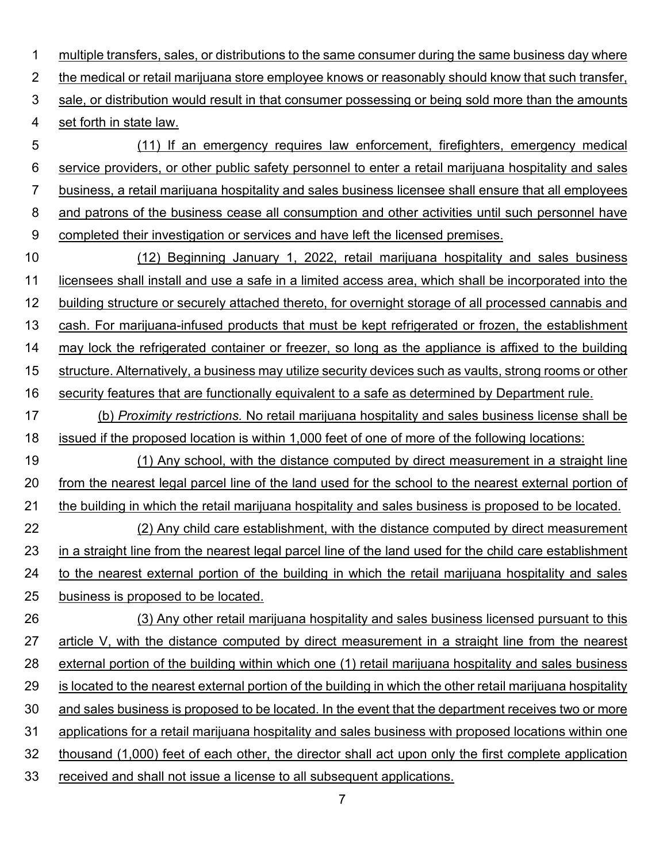multiple transfers, sales, or distributions to the same consumer during the same business day where the medical or retail marijuana store employee knows or reasonably should know that such transfer, sale, or distribution would result in that consumer possessing or being sold more than the amounts set forth in state law.

 (11) If an emergency requires law enforcement, firefighters, emergency medical service providers, or other public safety personnel to enter a retail marijuana hospitality and sales business, a retail marijuana hospitality and sales business licensee shall ensure that all employees and patrons of the business cease all consumption and other activities until such personnel have completed their investigation or services and have left the licensed premises.

 (12) Beginning January 1, 2022, retail marijuana hospitality and sales business licensees shall install and use a safe in a limited access area, which shall be incorporated into the 12 building structure or securely attached thereto, for overnight storage of all processed cannabis and cash. For marijuana-infused products that must be kept refrigerated or frozen, the establishment may lock the refrigerated container or freezer, so long as the appliance is affixed to the building 15 structure. Alternatively, a business may utilize security devices such as vaults, strong rooms or other security features that are functionally equivalent to a safe as determined by Department rule.

 (b) *Proximity restrictions.* No retail marijuana hospitality and sales business license shall be issued if the proposed location is within 1,000 feet of one of more of the following locations:

 (1) Any school, with the distance computed by direct measurement in a straight line from the nearest legal parcel line of the land used for the school to the nearest external portion of the building in which the retail marijuana hospitality and sales business is proposed to be located.

 (2) Any child care establishment, with the distance computed by direct measurement in a straight line from the nearest legal parcel line of the land used for the child care establishment to the nearest external portion of the building in which the retail marijuana hospitality and sales business is proposed to be located.

 (3) Any other retail marijuana hospitality and sales business licensed pursuant to this article V, with the distance computed by direct measurement in a straight line from the nearest external portion of the building within which one (1) retail marijuana hospitality and sales business is located to the nearest external portion of the building in which the other retail marijuana hospitality and sales business is proposed to be located. In the event that the department receives two or more applications for a retail marijuana hospitality and sales business with proposed locations within one thousand (1,000) feet of each other, the director shall act upon only the first complete application received and shall not issue a license to all subsequent applications.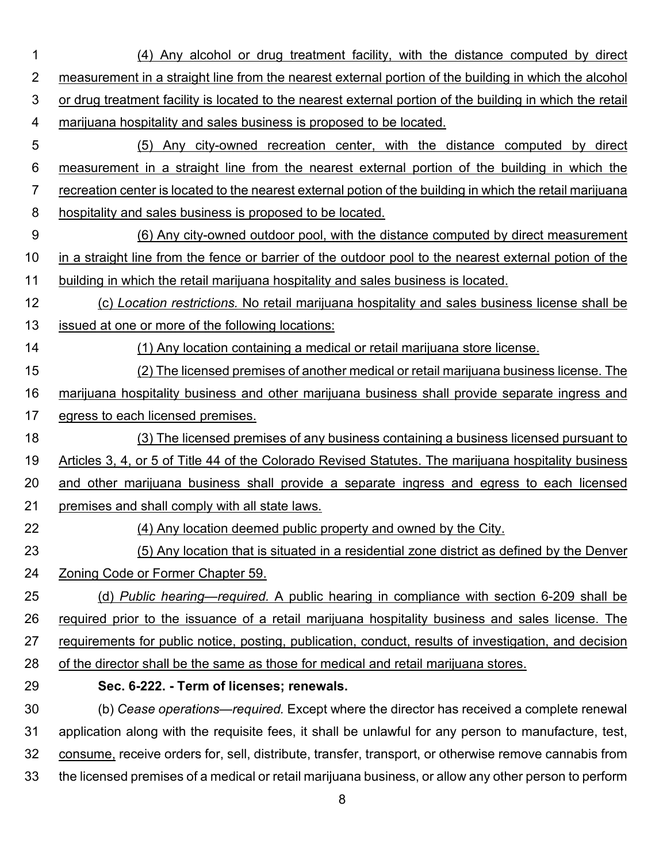- (4) Any alcohol or drug treatment facility, with the distance computed by direct 2 measurement in a straight line from the nearest external portion of the building in which the alcohol or drug treatment facility is located to the nearest external portion of the building in which the retail marijuana hospitality and sales business is proposed to be located.
- (5) Any city-owned recreation center, with the distance computed by direct measurement in a straight line from the nearest external portion of the building in which the recreation center is located to the nearest external potion of the building in which the retail marijuana hospitality and sales business is proposed to be located.
- (6) Any city-owned outdoor pool, with the distance computed by direct measurement in a straight line from the fence or barrier of the outdoor pool to the nearest external potion of the building in which the retail marijuana hospitality and sales business is located.
- (c) *Location restrictions.* No retail marijuana hospitality and sales business license shall be issued at one or more of the following locations:
- (1) Any location containing a medical or retail marijuana store license.
- (2) The licensed premises of another medical or retail marijuana business license. The marijuana hospitality business and other marijuana business shall provide separate ingress and egress to each licensed premises.
- (3) The licensed premises of any business containing a business licensed pursuant to Articles 3, 4, or 5 of Title 44 of the Colorado Revised Statutes. The marijuana hospitality business and other marijuana business shall provide a separate ingress and egress to each licensed premises and shall comply with all state laws.
- (4) Any location deemed public property and owned by the City.
- (5) Any location that is situated in a residential zone district as defined by the Denver Zoning Code or Former Chapter 59.
- (d) *Public hearing—required.* A public hearing in compliance with section 6-209 shall be required prior to the issuance of a retail marijuana hospitality business and sales license. The requirements for public notice, posting, publication, conduct, results of investigation, and decision of the director shall be the same as those for medical and retail marijuana stores.
- **Sec. 6-222. - Term of licenses; renewals.**
- (b) *Cease operations—required.* Except where the director has received a complete renewal application along with the requisite fees, it shall be unlawful for any person to manufacture, test, 32 consume, receive orders for, sell, distribute, transfer, transport, or otherwise remove cannabis from the licensed premises of a medical or retail marijuana business, or allow any other person to perform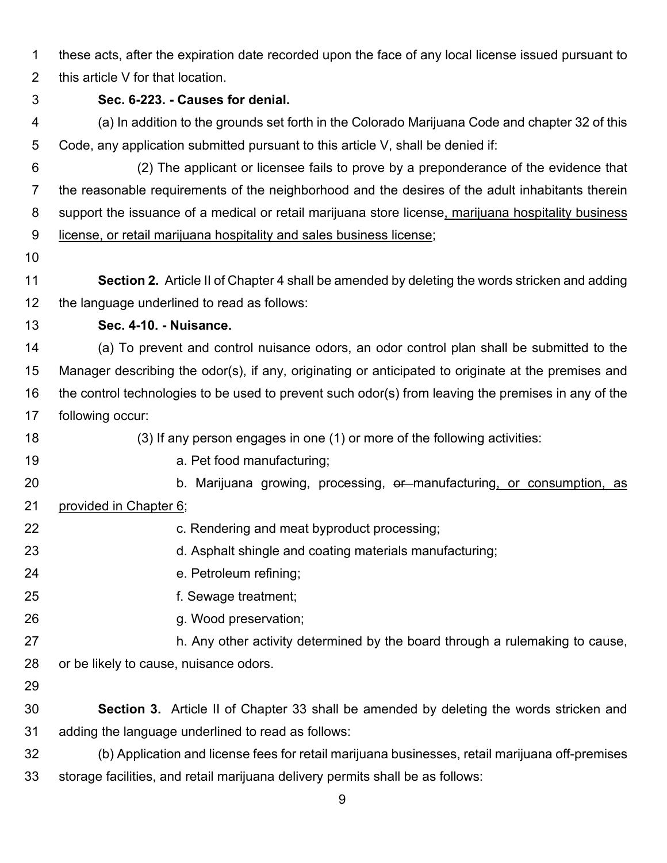these acts, after the expiration date recorded upon the face of any local license issued pursuant to this article V for that location.

**Sec. 6-223. - Causes for denial.**

 (a) In addition to the grounds set forth in the Colorado Marijuana Code and chapter 32 of this Code, any application submitted pursuant to this article V, shall be denied if:

 (2) The applicant or licensee fails to prove by a preponderance of the evidence that the reasonable requirements of the neighborhood and the desires of the adult inhabitants therein support the issuance of a medical or retail marijuana store license, marijuana hospitality business license, or retail marijuana hospitality and sales business license;

 **Section 2.** Article II of Chapter 4 shall be amended by deleting the words stricken and adding the language underlined to read as follows:

**Sec. 4-10. - Nuisance.**

 (a) To prevent and control nuisance odors, an odor control plan shall be submitted to the Manager describing the odor(s), if any, originating or anticipated to originate at the premises and the control technologies to be used to prevent such odor(s) from leaving the premises in any of the following occur:

(3) If any person engages in one (1) or more of the following activities:

- **a. Pet food manufacturing;**
- 20 b. Marijuana growing, processing, or manufacturing, or consumption, as

## provided in Chapter 6;

- c. Rendering and meat byproduct processing;
- d. Asphalt shingle and coating materials manufacturing;
- e. Petroleum refining;
- f. Sewage treatment;
- g. Wood preservation;
- 27 h. Any other activity determined by the board through a rulemaking to cause,
- or be likely to cause, nuisance odors.
- 
- **Section 3.** Article II of Chapter 33 shall be amended by deleting the words stricken and adding the language underlined to read as follows:

 (b) Application and license fees for retail marijuana businesses, retail marijuana off-premises storage facilities, and retail marijuana delivery permits shall be as follows: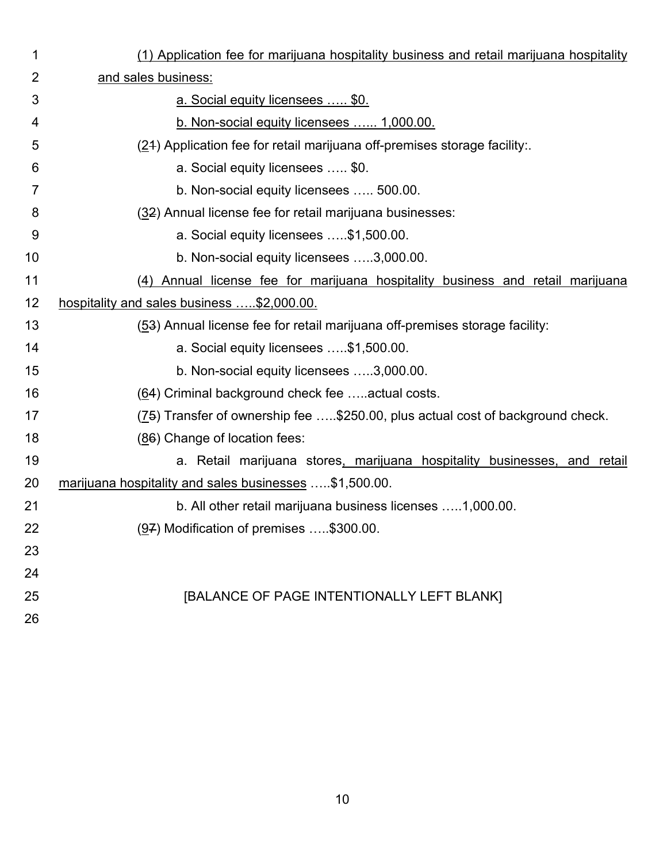| 1  | (1) Application fee for marijuana hospitality business and retail marijuana hospitality |  |  |
|----|-----------------------------------------------------------------------------------------|--|--|
| 2  | and sales business:                                                                     |  |  |
| 3  | a. Social equity licensees  \$0.                                                        |  |  |
| 4  | b. Non-social equity licensees  1,000.00.                                               |  |  |
| 5  | (24) Application fee for retail marijuana off-premises storage facility:                |  |  |
| 6  | a. Social equity licensees  \$0.                                                        |  |  |
| 7  | b. Non-social equity licensees  500.00.                                                 |  |  |
| 8  | (32) Annual license fee for retail marijuana businesses:                                |  |  |
| 9  | a. Social equity licensees \$1,500.00.                                                  |  |  |
| 10 | b. Non-social equity licensees 3,000.00.                                                |  |  |
| 11 | (4) Annual license fee for marijuana hospitality business and retail marijuana          |  |  |
| 12 | hospitality and sales business \$2,000.00.                                              |  |  |
| 13 | (53) Annual license fee for retail marijuana off-premises storage facility:             |  |  |
| 14 | a. Social equity licensees \$1,500.00.                                                  |  |  |
| 15 | b. Non-social equity licensees 3,000.00.                                                |  |  |
| 16 | (64) Criminal background check fee actual costs.                                        |  |  |
| 17 | (75) Transfer of ownership fee \$250.00, plus actual cost of background check.          |  |  |
| 18 | (86) Change of location fees:                                                           |  |  |
| 19 | a. Retail marijuana stores, marijuana hospitality businesses, and retail                |  |  |
| 20 | marijuana hospitality and sales businesses \$1,500.00.                                  |  |  |
| 21 | b. All other retail marijuana business licenses 1,000.00.                               |  |  |
| 22 | (97) Modification of premises \$300.00.                                                 |  |  |
| 23 |                                                                                         |  |  |
| 24 |                                                                                         |  |  |
| 25 | [BALANCE OF PAGE INTENTIONALLY LEFT BLANK]                                              |  |  |
| 26 |                                                                                         |  |  |